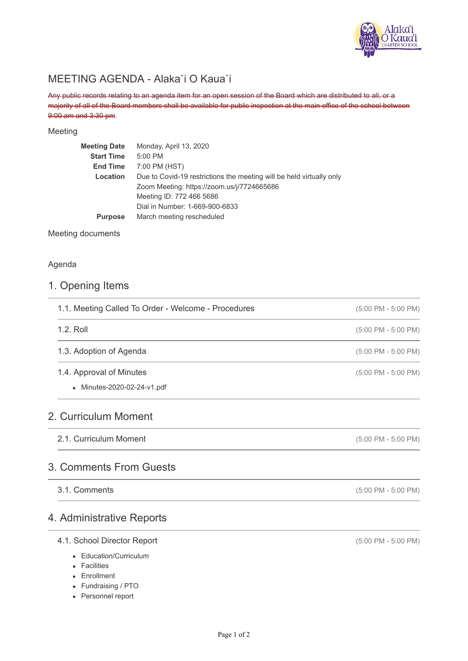

## MEETING AGENDA - Alaka`i O Kaua`i

Any public records relating to an agenda item for an open session of the Board which are distributed to all, or a majority of all of the Board members shall be available for public inspection at the main office of the school between 9:00 am and 3:30 pm.

#### Meeting

| <b>Meeting Date</b> | Monday, April 13, 2020                                               |
|---------------------|----------------------------------------------------------------------|
| <b>Start Time</b>   | 5:00 PM                                                              |
| <b>End Time</b>     | 7:00 PM (HST)                                                        |
| Location            | Due to Covid-19 restrictions the meeting will be held virtually only |
|                     | Zoom Meeting: https://zoom.us/j/7724665686                           |
|                     | Meeting ID: 772 466 5686                                             |
|                     | Dial in Number: 1-669-900-6833                                       |
| <b>Purpose</b>      | March meeting rescheduled                                            |
|                     |                                                                      |

Meeting documents

#### Agenda

### 1. Opening Items

| 1.1. Meeting Called To Order - Welcome - Procedures     | $(5:00 \text{ PM} - 5:00 \text{ PM})$ |
|---------------------------------------------------------|---------------------------------------|
| $1.2.$ Roll                                             | $(5:00 \text{ PM} - 5:00 \text{ PM})$ |
| 1.3. Adoption of Agenda                                 | $(5:00 \text{ PM} - 5:00 \text{ PM})$ |
| 1.4. Approval of Minutes<br>• Minutes-2020-02-24-v1.pdf | $(5:00 \text{ PM} - 5:00 \text{ PM})$ |
| 2. Curriculum Moment                                    |                                       |
| 2.1. Curriculum Moment                                  | $(5:00 \text{ PM} - 5:00 \text{ PM})$ |
| 3. Comments From Guests                                 |                                       |

#### 3.1. Comments

### 4. Administrative Reports

#### 4.1. School Director Report

- Education/Curriculum
- Facilities
- Enrollment
- Fundraising / PTO
- Personnel report

(5:00 PM - 5:00 PM)

(5:00 PM - 5:00 PM)